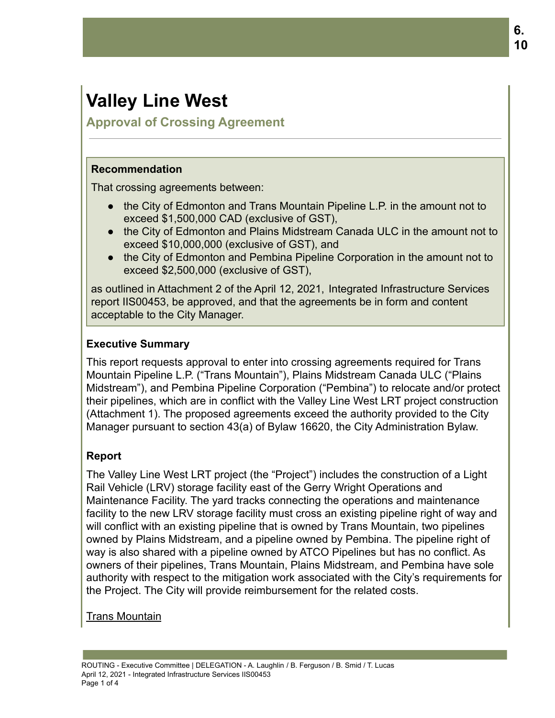# **Valley Line West**

**Approval of Crossing Agreement**

#### **Recommendation**

That crossing agreements between:

- the City of Edmonton and Trans Mountain Pipeline L.P. in the amount not to exceed \$1,500,000 CAD (exclusive of GST),
- the City of Edmonton and Plains Midstream Canada ULC in the amount not to exceed \$10,000,000 (exclusive of GST), and
- the City of Edmonton and Pembina Pipeline Corporation in the amount not to exceed \$2,500,000 (exclusive of GST),

as outlined in Attachment 2 of the April 12, 2021, Integrated Infrastructure Services report IIS00453, be approved, and that the agreements be in form and content acceptable to the City Manager.

## **Executive Summary**

This report requests approval to enter into crossing agreements required for Trans Mountain Pipeline L.P. ("Trans Mountain"), Plains Midstream Canada ULC ("Plains Midstream"), and Pembina Pipeline Corporation ("Pembina") to relocate and/or protect their pipelines, which are in conflict with the Valley Line West LRT project construction (Attachment 1). The proposed agreements exceed the authority provided to the City Manager pursuant to section 43(a) of Bylaw 16620, the City Administration Bylaw.

## **Report**

The Valley Line West LRT project (the "Project") includes the construction of a Light Rail Vehicle (LRV) storage facility east of the Gerry Wright Operations and Maintenance Facility. The yard tracks connecting the operations and maintenance facility to the new LRV storage facility must cross an existing pipeline right of way and will conflict with an existing pipeline that is owned by Trans Mountain, two pipelines owned by Plains Midstream, and a pipeline owned by Pembina. The pipeline right of way is also shared with a pipeline owned by ATCO Pipelines but has no conflict. As owners of their pipelines, Trans Mountain, Plains Midstream, and Pembina have sole authority with respect to the mitigation work associated with the City's requirements for the Project. The City will provide reimbursement for the related costs.

Trans Mountain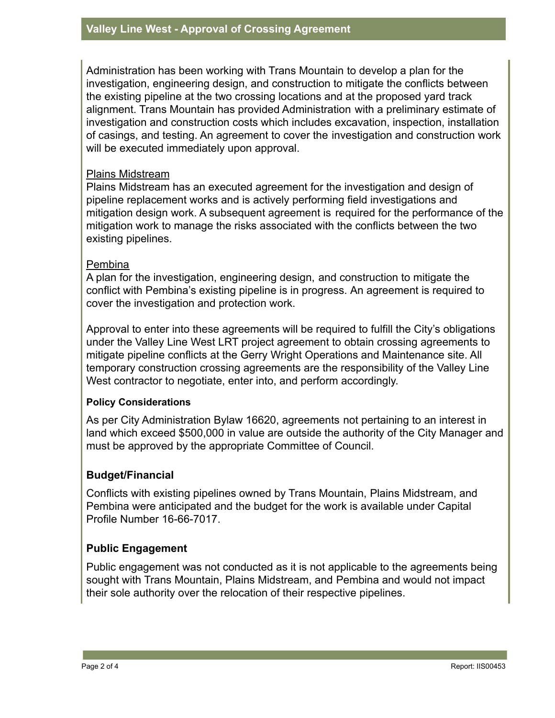Administration has been working with Trans Mountain to develop a plan for the investigation, engineering design, and construction to mitigate the conflicts between the existing pipeline at the two crossing locations and at the proposed yard track alignment. Trans Mountain has provided Administration with a preliminary estimate of investigation and construction costs which includes excavation, inspection, installation of casings, and testing. An agreement to cover the investigation and construction work will be executed immediately upon approval.

#### Plains Midstream

Plains Midstream has an executed agreement for the investigation and design of pipeline replacement works and is actively performing field investigations and mitigation design work. A subsequent agreement is required for the performance of the mitigation work to manage the risks associated with the conflicts between the two existing pipelines.

## **Pembina**

A plan for the investigation, engineering design, and construction to mitigate the conflict with Pembina's existing pipeline is in progress. An agreement is required to cover the investigation and protection work.

Approval to enter into these agreements will be required to fulfill the City's obligations under the Valley Line West LRT project agreement to obtain crossing agreements to mitigate pipeline conflicts at the Gerry Wright Operations and Maintenance site. All temporary construction crossing agreements are the responsibility of the Valley Line West contractor to negotiate, enter into, and perform accordingly.

## **Policy Considerations**

As per City Administration Bylaw 16620, agreements not pertaining to an interest in land which exceed \$500,000 in value are outside the authority of the City Manager and must be approved by the appropriate Committee of Council.

## **Budget/Financial**

Conflicts with existing pipelines owned by Trans Mountain, Plains Midstream, and Pembina were anticipated and the budget for the work is available under Capital Profile Number 16-66-7017.

## **Public Engagement**

Public engagement was not conducted as it is not applicable to the agreements being sought with Trans Mountain, Plains Midstream, and Pembina and would not impact their sole authority over the relocation of their respective pipelines.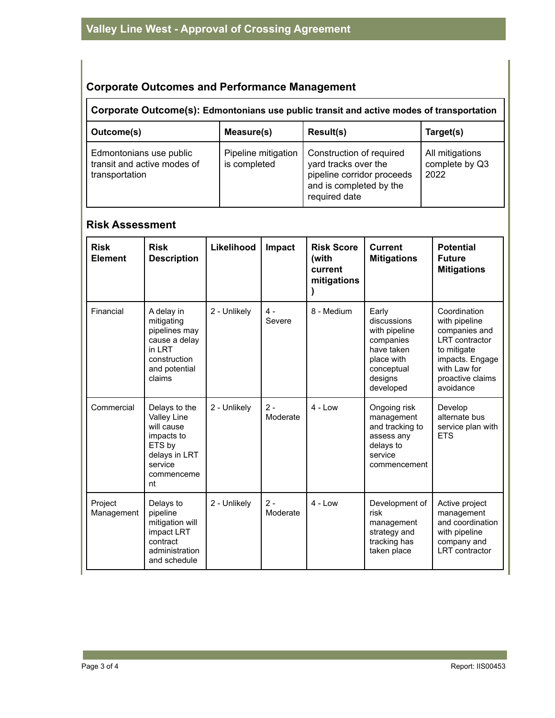# **Corporate Outcomes and Performance Management**

## **Corporate Outcome(s): Edmontonians use public transit and active modes of transportation**

| Outcome(s)                                                               | Measure(s)                          | Result(s)                                                                                                                  | Target(s)                                 |
|--------------------------------------------------------------------------|-------------------------------------|----------------------------------------------------------------------------------------------------------------------------|-------------------------------------------|
| Edmontonians use public<br>transit and active modes of<br>transportation | Pipeline mitigation<br>is completed | Construction of required<br>yard tracks over the<br>pipeline corridor proceeds<br>and is completed by the<br>required date | All mitigations<br>complete by Q3<br>2022 |

## **Risk Assessment**

| <b>Risk</b><br><b>Element</b> | <b>Risk</b><br><b>Description</b>                                                                                         | Likelihood   | Impact            | <b>Risk Score</b><br>(with<br>current<br>mitigations | <b>Current</b><br><b>Mitigations</b>                                                                                 | <b>Potential</b><br><b>Future</b><br><b>Mitigations</b>                                                                                                     |
|-------------------------------|---------------------------------------------------------------------------------------------------------------------------|--------------|-------------------|------------------------------------------------------|----------------------------------------------------------------------------------------------------------------------|-------------------------------------------------------------------------------------------------------------------------------------------------------------|
| Financial                     | A delay in<br>mitigating<br>pipelines may<br>cause a delay<br>in I RT<br>construction<br>and potential<br>claims          | 2 - Unlikely | $4 -$<br>Severe   | 8 - Medium                                           | Early<br>discussions<br>with pipeline<br>companies<br>have taken<br>place with<br>conceptual<br>designs<br>developed | Coordination<br>with pipeline<br>companies and<br><b>LRT</b> contractor<br>to mitigate<br>impacts. Engage<br>with I aw for<br>proactive claims<br>avoidance |
| Commercial                    | Delays to the<br><b>Valley Line</b><br>will cause<br>impacts to<br>ETS by<br>delays in LRT<br>service<br>commenceme<br>nt | 2 - Unlikely | $2 -$<br>Moderate | $4 - Low$                                            | Ongoing risk<br>management<br>and tracking to<br>assess any<br>delays to<br>service<br>commencement                  | Develop<br>alternate bus<br>service plan with<br><b>ETS</b>                                                                                                 |
| Project<br>Management         | Delays to<br>pipeline<br>mitigation will<br>impact LRT<br>contract<br>administration<br>and schedule                      | 2 - Unlikely | $2 -$<br>Moderate | $4 - 1$ ow                                           | Development of<br>risk<br>management<br>strategy and<br>tracking has<br>taken place                                  | Active project<br>management<br>and coordination<br>with pipeline<br>company and<br><b>LRT</b> contractor                                                   |